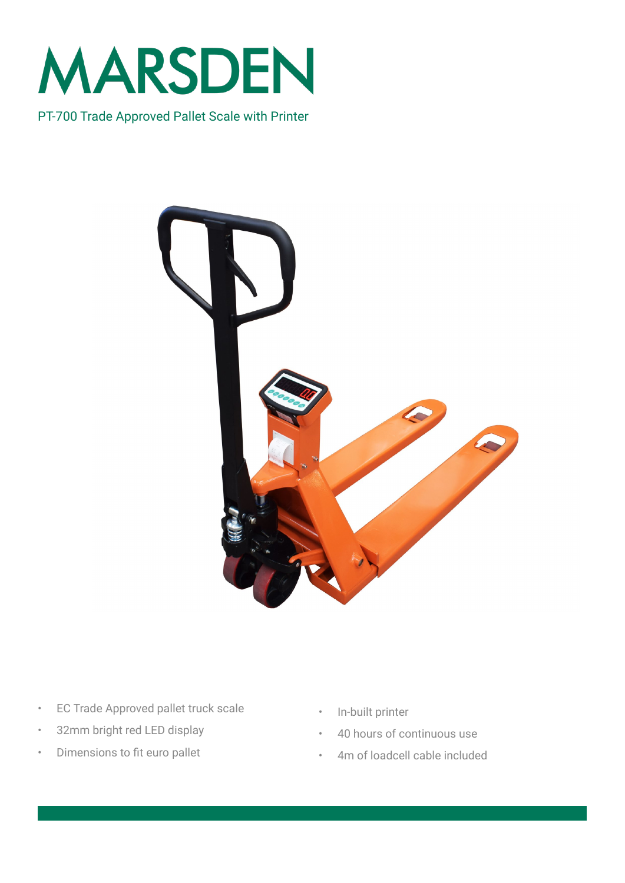

PT-700 Trade Approved Pallet Scale with Printer



- EC Trade Approved pallet truck scale
- 32mm bright red LED display
- Dimensions to fit euro pallet
- In-built printer
- 40 hours of continuous use
- 4m of loadcell cable included